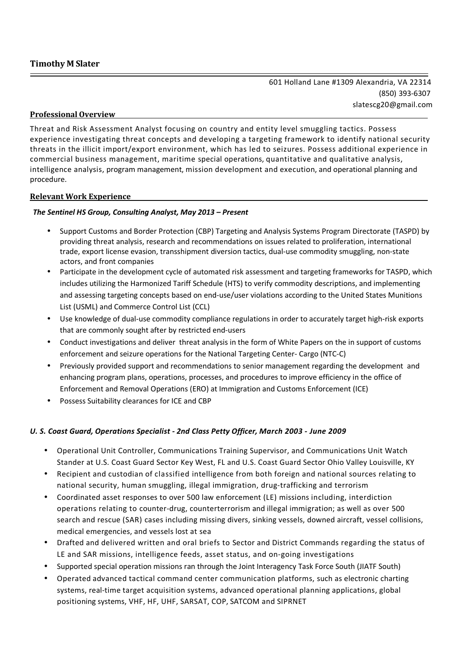601 Holland Lane #1309 Alexandria, VA 22314 (850) 393-6307 slatescg20@gmail.com

# **Professional Overview**

Threat and Risk Assessment Analyst focusing on country and entity level smuggling tactics. Possess experience investigating threat concepts and developing a targeting framework to identify national security threats in the illicit import/export environment, which has led to seizures. Possess additional experience in commercial business management, maritime special operations, quantitative and qualitative analysis, intelligence analysis, program management, mission development and execution, and operational planning and procedure.

# **Relevant Work Experience**

# *The Sentinel HS Group, Consulting Analyst, May 2013 – Present*

- Support Customs and Border Protection (CBP) Targeting and Analysis Systems Program Directorate (TASPD) by providing threat analysis, research and recommendations on issues related to proliferation, international trade, export license evasion, transshipment diversion tactics, dual-use commodity smuggling, non-state actors, and front companies
- Participate in the development cycle of automated risk assessment and targeting frameworks for TASPD, which includes utilizing the Harmonized Tariff Schedule (HTS) to verify commodity descriptions, and implementing and assessing targeting concepts based on end-use/user violations according to the United States Munitions List (USML) and Commerce Control List (CCL)
- Use knowledge of dual-use commodity compliance regulations in order to accurately target high-risk exports that are commonly sought after by restricted end-users
- Conduct investigations and deliver threat analysis in the form of White Papers on the in support of customs enforcement and seizure operations for the National Targeting Center- Cargo (NTC-C)
- Previously provided support and recommendations to senior management regarding the development and enhancing program plans, operations, processes, and procedures to improve efficiency in the office of Enforcement and Removal Operations (ERO) at Immigration and Customs Enforcement (ICE)
- Possess Suitability clearances for ICE and CBP

# *U. S. Coast Guard, Operations Specialist - 2nd Class Petty Officer, March 2003 - June 2009*

- Operational Unit Controller, Communications Training Supervisor, and Communications Unit Watch Stander at U.S. Coast Guard Sector Key West, FL and U.S. Coast Guard Sector Ohio Valley Louisville, KY
- Recipient and custodian of classified intelligence from both foreign and national sources relating to national security, human smuggling, illegal immigration, drug-trafficking and terrorism
- Coordinated asset responses to over 500 law enforcement (LE) missions including, interdiction operations relating to counter-drug, counterterrorism and illegal immigration; as well as over 500 search and rescue (SAR) cases including missing divers, sinking vessels, downed aircraft, vessel collisions, medical emergencies, and vessels lost at sea
- Drafted and delivered written and oral briefs to Sector and District Commands regarding the status of LE and SAR missions, intelligence feeds, asset status, and on-going investigations
- Supported special operation missions ran through the Joint Interagency Task Force South (JIATF South)
- Operated advanced tactical command center communication platforms, such as electronic charting systems, real-time target acquisition systems, advanced operational planning applications, global positioning systems, VHF, HF, UHF, SARSAT, COP, SATCOM and SIPRNET